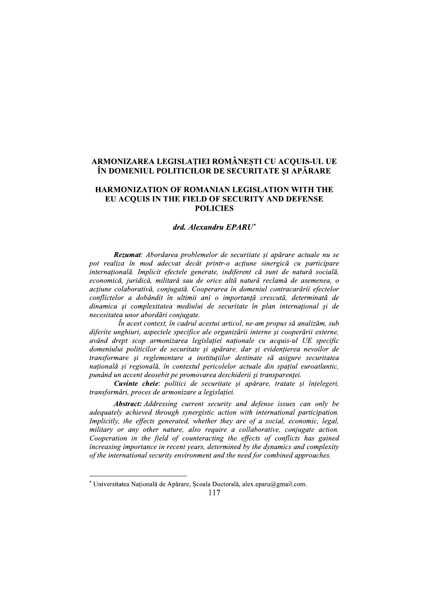# ARMONIZAREA LEGISLAȚIEI ROMANEȘTI CU ACQUIS-UL UE IN DOMENIUL POLITICILOR DE SECURITATE ȘI APARARE

# HARMONIZATION OF ROMANIAN LEGISLATION WITH THE EU ACQUIS IN THE FIELD OF SECURITY AND DEFENSE **POLICIES**

#### drd. Alexandru EPARU\*

**IZAREA LEGISLAȚIEI ROMÂNEȘTI CU AMENIUL POLITICILOR DE SECURITATE Ș<br>DNIZATION OF ROMANIAN LEGISLATIOI<br>CQUIS IN THE FIELD OF SECURITY AND<br>POLICIES<br>drd. Alexandru EPARU\*<br>zumat: Abordarea problemelor de securitate și apăr<br>a** HARMONIZATION OF ROMA<br>
EU ACQUIS IN THE FIELD<br>
POI<br>
drd. Alexan<br>
drd. Alexan<br>
drd. Alexan<br>
pot realiza în mod adecvat decât p<br>
internațională. Implicit efectele genera<br>
economică, juridică, militară sau de o<br>
acțiune colab Rezumat: Abordarea problemelor de securitate și apărare actuale nu se pot realiza în mod adecvat decât printr-o acțiune sinergică cu participare internațională. Implicit efectele generate, indiferent că sunt de natură socială, economică, juridică, militară sau de orice altă natură reclamă de asemenea, o actiune colaborativă, conjugată, Cooperarea în domeniul contracarării efectelor conflictelor a dobândit în ultimii ani o importanță crescută, determinată de dinamica si complexitatea mediului de securitate în plan internațional și de necesitatea unor abordări conjugate.

 $\hat{I}$ n acest context, în cadrul acestui articol, ne-am propus să analizăm, sub diferite unghiuri, aspectele specifice ale organizării interne și cooperării externe, având drept scop armonizarea legislatiei nationale cu acauis-ul UE specific domeniului politicilor de securitate și apărare, dar și evidențierea nevoilor de transformare și reglementare a instituțiilor destinate să asigure securitatea națională și regională, în contextul pericolelor actuale din spațiul euroatlantic, punând un accent deosebit pe promovarea deschiderii și transparenței.

Cuvinte cheie: politici de securitate și apărare, tratate și înțelegeri, transformări, proces de armonizare a legislației.<br>**Abstract:** Addressing current security and defense issues can only be

anjerite ungnuri, aspectele specifice ale organizarii mieme și cooperarii externe,<br>având drept scop armonizarea legislației naționale cu acquis-ul UE specific<br>domeniului politicilor de securitate și apărare, dar și evidenț

<sup>-</sup>---------------------------------------------- $^{\circ}$ Universitatea Națională de Apărare, Școala Doctorală, alex.eparu@gmail.com.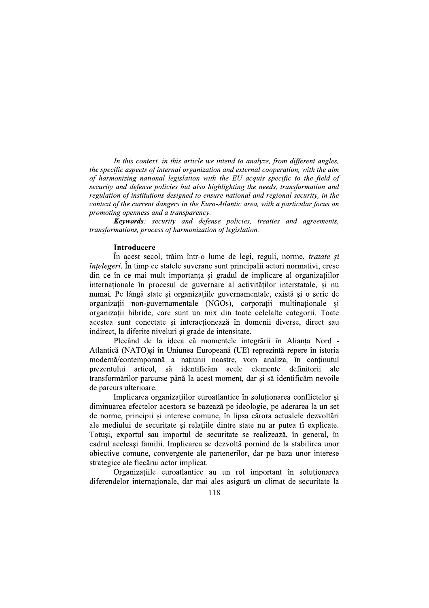In this context, in this article we intend to analyze, from different angles, the specific aspects of internal organization and external cooperation, with the aim of harmonizing national legislation with the EU acquis specific to the field of security and defense policies but also highlighting the needs, transformation and regulation of institutions designed to ensure national and regional security, in the context of the current dangers in the Euro-Atlantic area, with a particular focus on promoting openness and a transparency.

**Keywords**: security and defense policies, treaties and agreements, transformations, process of harmonization of legislation.

#### **Introducere**

În acest secol, trăim într-o lume de legi, reguli, norme, tratate și *întelegeri*. În timp ce statele suverane sunt principalii actori normativi, cresc din ce în ce mai mult importanta și gradul de implicare al organizatiilor internaționale în procesul de guvernare al activităților interstatale, și nu numai. Pe lângă state și organizațiile guvernamentale, există și o serie de organizații non-guvernamentale (NGOs), corporații multinaționale și organizatii hibride, care sunt un mix din toate celelalte categorii. Toate acestea sunt conectate si interactionează în domenii diverse, direct sau indirect, la diferite niveluri și grade de intensitate.

Plecând de la ideea că momentele integrării în Alianta Nord -Atlantică (NATO)și în Uniunea Europeană (UE) reprezintă repere în istoria modernă/contemporană a națiunii noastre, vom analiza, în conținutul articol, să identificăm acele elemente definitorii prezentului ale transformărilor parcurse până la acest moment, dar și să identificăm nevoile de parcurs ulterioare.

Implicarea organizatiilor euroatlantice în solutionarea conflictelor si diminuarea efectelor acestora se bazează pe ideologie, pe aderarea la un set de norme, principii și interese comune, în lipsa cărora actualele dezvoltări ale mediului de securitate si relatiile dintre state nu ar putea fi explicate. Totuși, exportul sau importul de securitate se realizează, în general, în cadrul aceleași familii. Implicarea se dezvoltă pornind de la stabilirea unor obiective comune, convergente ale partenerilor, dar pe baza unor interese strategice ale fiecărui actor implicat.

Organizatiile euroatlantice au un rol important în solutionarea diferendelor internationale, dar mai ales asigură un climat de securitate la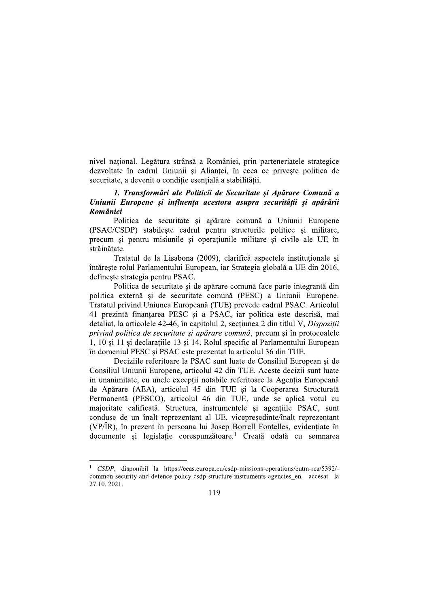nivel național. Legătura strânsă a României, prin parteneriatele strategice dezvoltate în cadrul Uniunii și Aliantei, în ceea ce priveste politica de securitate, a devenit o conditie esentială a stabilitătii.

## 1. Transformări ale Politicii de Securitate și Apărare Comună a Uniunii Europene si influenta acestora asupra securitătii si apărării **României**

Politica de securitate si apărare comună a Uniunii Europene (PSAC/CSDP) stabileste cadrul pentru structurile politice și militare, precum și pentru misiunile și operațiunile militare și civile ale UE în străinătate.

Tratatul de la Lisabona (2009), clarifică aspectele instituționale și întărește rolul Parlamentului European, iar Strategia globală a UE din 2016, definește strategia pentru PSAC.

Politica de securitate și de apărare comună face parte integrantă din politica externă și de securitate comună (PESC) a Uniunii Europene. Tratatul privind Uniunea Europeană (TUE) prevede cadrul PSAC. Articolul 41 prezintă finanțarea PESC și a PSAC, iar politica este descrisă, mai detaliat, la articolele 42-46, în capitolul 2, secțiunea 2 din titlul V, Dispoziții privind politica de securitate și apărare comună, precum și în protocoalele 1, 10 si 11 si declaratiile 13 si 14. Rolul specific al Parlamentului European în domeniul PESC și PSAC este prezentat la articolul 36 din TUE.

Deciziile referitoare la PSAC sunt luate de Consiliul European și de Consiliul Uniunii Europene, articolul 42 din TUE. Aceste decizii sunt luate în unanimitate, cu unele excepții notabile referitoare la Agenția Europeană de Apărare (AEA), articolul 45 din TUE și la Cooperarea Structurată Permanentă (PESCO), articolul 46 din TUE, unde se aplică votul cu majoritate calificată. Structura, instrumentele si agentiile PSAC, sunt conduse de un înalt reprezentant al UE, vicepreședinte/înalt reprezentant (VP/IR), în prezent în persoana lui Josep Borrell Fontelles, evidențiate în documente si legislatie corespunzătoare.<sup>1</sup> Creată odată cu semnarea

<sup>&</sup>lt;sup>1</sup> CSDP, disponibil la https://eeas.europa.eu/csdp-missions-operations/eutm-rca/5392/common-security-and-defence-policy-csdp-structure-instruments-agencies en. accesat la 27.10.2021.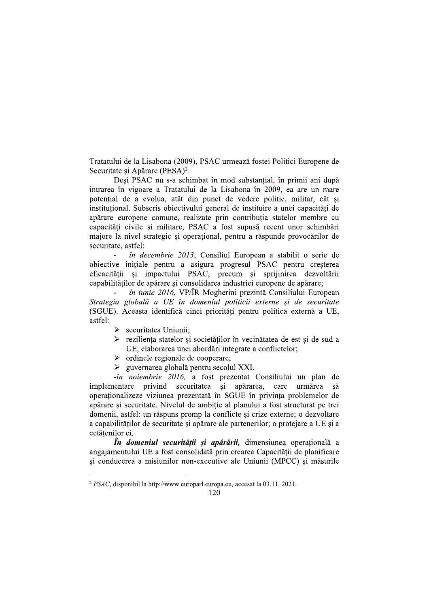Tratatului de la Lisabona (2009), PSAC urmează fostei Politici Europene de Securitate si Apărare (PESA)<sup>2</sup>.

Desi PSAC nu s-a schimbat în mod substantial, în primii ani după intrarea în vigoare a Tratatului de la Lisabona în 2009, ea are un mare potential de a evolua, atât din punct de vedere politic, militar, cât si instituțional. Subscris obiectivului general de instituire a unei capacități de apărare europene comune, realizate prin contribuția statelor membre cu capacități civile si militare, PSAC a fost supusă recent unor schimbări majore la nivel strategic și operațional, pentru a răspunde provocărilor de securitate, astfel:

în decembrie 2013, Consiliul European a stabilit o serie de obiective inițiale pentru a asigura progresul PSAC pentru creșterea eficacității si impactului PSAC, precum si sprijinirea dezvoltării capabilităților de apărare și consolidarea industriei europene de apărare;

*în iunie 2016*, VP/ÎR Mogherini prezintă Consiliului European Strategia globală a UE în domeniul politicii externe și de securitate (SGUE). Aceasta identifică cinci priorități pentru politica externă a UE, astfel:

- $\triangleright$  securitatea Uniunii:
- > reziliența statelor și societăților în vecinătatea de est și de sud a UE; elaborarea unei abordări integrate a conflictelor;
- $\triangleright$  ordinele regionale de cooperare;
- $\triangleright$  guvernarea globală pentru secolul XXI.

-în noiembrie 2016, a fost prezentat Consiliului un plan de implementare privind securitatea și apărarea, care urmărea să operaționalizeze viziunea prezentată în SGUE în privința problemelor de apărare și securitate. Nivelul de ambiție al planului a fost structurat pe trei domenii, astfel: un răspuns promp la conflicte și crize externe; o dezvoltare a capabilităților de securitate și apărare ale partenerilor; o protejare a UE și a cetătenilor ei.

*În domeniul securității și apărării*, dimensiunea operațională a angajamentului UE a fost consolidată prin crearea Capacității de planificare și conducerea a misiunilor non-executive ale Uniunii (MPCC) și măsurile

<sup>&</sup>lt;sup>2</sup> PSAC, disponibil la http://www.europarl.europa.eu, accesat la 03.11. 2021.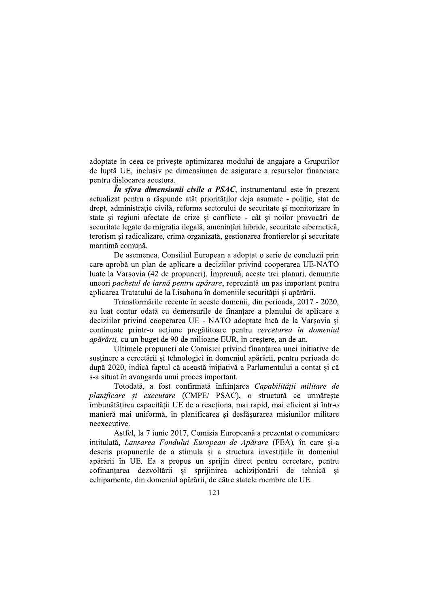adoptate în ceea ce privește optimizarea modului de angajare a Grupurilor de luptă UE, inclusiv pe dimensiunea de asigurare a resurselor financiare pentru dislocarea acestora.

 $\hat{I}$ n sfera dimensiunii civile a PSAC, instrumentarul este în prezent actualizat pentru a răspunde atât prioritătilor deja asumate - politie, stat de drept, administrație civilă, reforma sectorului de securitate și monitorizare în state și regiuni afectate de crize și conflicte - cât și noilor provocări de securitate legate de migratia ilegală, amenintări hibride, securitate cibernetică, terorism și radicalizare, crimă organizată, gestionarea frontierelor și securitate maritimă comună.

De asemenea, Consiliul European a adoptat o serie de concluzii prin care aprobă un plan de aplicare a deciziilor privind cooperarea UE-NATO luate la Varsovia (42 de propuneri). Împreună, aceste trei planuri, denumite uneori pachetul de iarnă pentru apărare, reprezintă un pas important pentru aplicarea Tratatului de la Lisabona în domeniile securitătii si apărării.

Transformările recente în aceste domenii, din perioada, 2017 - 2020, au luat contur odată cu demersurile de finanțare a planului de aplicare a deciziilor privind cooperarea UE - NATO adoptate încă de la Varsovia si continuate printr-o actiune pregătitoare pentru cercetarea în domeniul *apărării*, cu un buget de 90 de milioane EUR, în creștere, an de an.

Ultimele propuneri ale Comisiei privind finantarea unei initiative de susținere a cercetării și tehnologiei în domeniul apărării, pentru perioada de după 2020, indică faptul că această inițiativă a Parlamentului a contat și că s-a situat în avangarda unui proces important.

Totodată, a fost confirmată înființarea Capabilității militare de planificare si executare (CMPE/ PSAC), o structură ce urmăreste îmbunătățirea capacității UE de a reacționa, mai rapid, mai eficient și într-o manieră mai uniformă, în planificarea și desfășurarea misiunilor militare neexecutive.

Astfel, la 7 iunie 2017, Comisia Europeană a prezentat o comunicare intitulată, Lansarea Fondului European de Apărare (FEA), în care și-a descris propunerile de a stimula si a structura investitiile în domeniul apărării în UE. Ea a propus un sprijin direct pentru cercetare, pentru cofinantarea dezvoltării și sprijinirea achiziționării de tehnică și echipamente, din domeniul apărării, de către statele membre ale UE.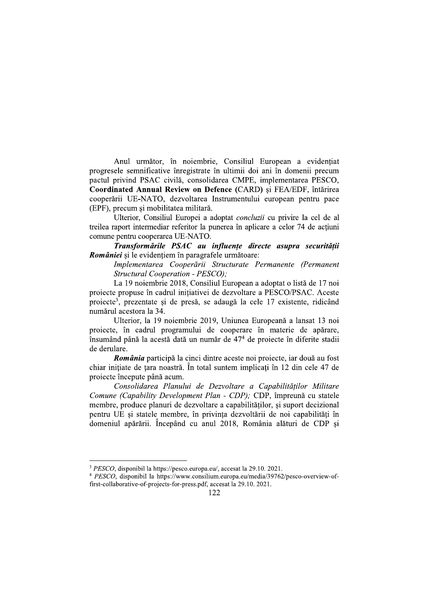Anul următor, în noiembrie, Consiliul European a evidențiat progresele semnificative înregistrate în ultimii doi ani în domenii precum pactul privind PSAC civilă, consolidarea CMPE, implementarea PESCO, Coordinated Annual Review on Defence (CARD) și FEA/EDF, întărirea cooperării UE-NATO, dezvoltarea Instrumentului european pentru pace (EPF), precum și mobilitatea militară.

Ulterior, Consiliul Europei a adoptat concluzii cu privire la cel de al treilea raport intermediar referitor la punerea în aplicare a celor 74 de actiuni comune pentru cooperarea UE-NATO.

Transformările PSAC au influențe directe asupra securității *României* si le evidentiem în paragrafele următoare:

Implementarea Cooperării Structurate Permanente (Permanent Structural Cooperation - PESCO);

La 19 noiembrie 2018, Consiliul European a adoptat o listă de 17 noi projecte propuse în cadrul initiativei de dezvoltare a PESCO/PSAC. Aceste proiecte<sup>3</sup>, prezentate și de presă, se adaugă la cele 17 existente, ridicând numărul acestora la 34.

Ulterior, la 19 noiembrie 2019, Uniunea Europeană a lansat 13 noi projecte, în cadrul programului de cooperare în materie de apărare, însumând până la acestă dată un număr de 47<sup>4</sup> de proiecte în diferite stadii de derulare.

România participă la cinci dintre aceste noi proiecte, iar două au fost chiar inițiate de țara noastră. În total suntem implicați în 12 din cele 47 de projecte începute până acum.

Consolidarea Planului de Dezvoltare a Capabilităților Militare Comune (Capability Development Plan - CDP); CDP, împreună cu statele membre, produce planuri de dezvoltare a capabilităților, și suport decizional pentru UE și statele membre, în privința dezvoltării de noi capabilități în domeniul apărării. Începând cu anul 2018, România alături de CDP și

<sup>&</sup>lt;sup>3</sup> PESCO, disponibil la https://pesco.europa.eu/, accesat la 29.10. 2021.

<sup>&</sup>lt;sup>4</sup> PESCO, disponibil la https://www.consilium.europa.eu/media/39762/pesco-overview-offirst-collaborative-of-projects-for-press.pdf, accesat la 29.10. 2021.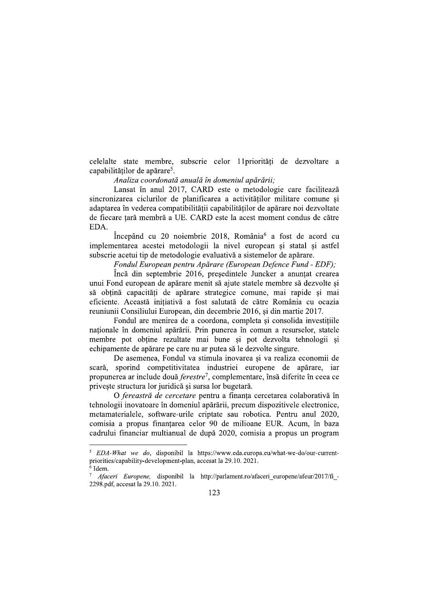celelalte state membre, subscrie celor 11 priorități de dezvoltare a capabilităților de apărare<sup>5</sup>.

### Analiza coordonată anuală în domeniul apărării:

Lansat în anul 2017, CARD este o metodologie care facilitează sincronizarea ciclurilor de planificarea a activitătilor militare comune si adaptarea în vederea compatibilității capabilităților de apărare noi dezvoltate de fiecare țară membră a UE. CARD este la acest moment condus de către EDA.

Începând cu 20 noiembrie 2018, România<sup>6</sup> a fost de acord cu implementarea acestei metodologii la nivel european și statal și astfel subscrie acetui tip de metodologie evaluativă a sistemelor de apărare.

Fondul European pentru Apărare (European Defence Fund - EDF);

Încă din septembrie 2016, presedintele Juncker a anuntat crearea unui Fond european de apărare menit să ajute statele membre să dezvolte și să obțină capacități de apărare strategice comune, mai rapide și mai eficiente. Această initiativă a fost salutată de către România cu ocazia reuniunii Consiliului European, din decembrie 2016, și din martie 2017.

Fondul are menirea de a coordona, completa si consolida investitiile nationale în domeniul apărării. Prin punerea în comun a resurselor, statele membre pot obține rezultate mai bune și pot dezvolta tehnologii și echipamente de apărare pe care nu ar putea să le dezvolte singure.

De asemenea, Fondul va stimula inovarea și va realiza economii de scară, sporind competitivitatea industriei europene de apărare, iar propunerea ar include două ferestre<sup>7</sup>, complementare, însă diferite în ceea ce priveste structura lor juridică și sursa lor bugetară.

O fereastră de cercetare pentru a finanța cercetarea colaborativă în tehnologii inovatoare în domeniul apărării, precum dispozitivele electronice, metamaterialele, software-urile criptate sau robotica. Pentru anul 2020, comisia a propus finantarea celor 90 de milioane EUR. Acum, în baza cadrului financiar multianual de după 2020, comisia a propus un program

EDA-What we do, disponibil la https://www.eda.europa.eu/what-we-do/our-currentpriorities/capability-development-plan, accesat la 29.10. 2021.  $6$  Idem.

Afaceri Europene, disponibil la http://parlament.ro/afaceri europene/afeur/2017/fi -2298.pdf, accesat la 29.10. 2021.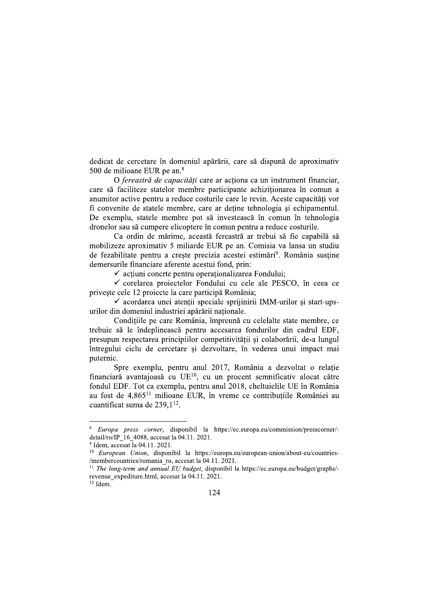dedicat de cercetare în domeniul apărării, care să dispună de aproximativ 500 de milioane EUR pe an. $8$ 

O fereastră de capacităti care ar actiona ca un instrument financiar, care să faciliteze statelor membre participante achiziționarea în comun a anumitor active pentru a reduce costurile care le revin. Aceste capacităti vor fi convenite de statele membre, care ar deține tehnologia și echipamentul. De exemplu, statele membre pot să investească în comun în tehnologia dronelor sau să cumpere elicoptere în comun pentru a reduce costurile.

Ca ordin de mărime, această fereastră ar trebui să fie capabilă să mobilizeze aproximativ 5 miliarde EUR pe an. Comisia va lansa un studiu de fezabilitate pentru a creste precizia acestei estimări<sup>9</sup>. România sustine demersurile financiare aferente acestui fond, prin:

 $\checkmark$  actiuni concrte pentru operationalizarea Fondului;

√ corelarea proiectelor Fondului cu cele ale PESCO, în ceea ce priveste cele 12 projecte la care participă România;

 $\checkmark$  acordarea unei atentii speciale sprijinirii IMM-urilor si start-upsurilor din domeniul industriei apărării naționale.

Conditiile pe care România, împreună cu celelalte state membre, ce trebuie să le îndeplinească pentru accesarea fondurilor din cadrul EDF, presupun respectarea principiilor competitivității și colaborării, de-a lungul întregului ciclu de cercetare si dezvoltare, în vederea unui impact mai puternic.

Spre exemplu, pentru anul 2017, România a dezvoltat o relație financiară avantajoasă cu UE<sup>10</sup>, cu un procent semnificativ alocat către fondul EDF. Tot ca exemplu, pentru anul 2018, cheltuielile UE în România au fost de 4,865<sup>11</sup> milioane EUR, în vreme ce contributiile României au cuantificat suma de 239.1<sup>12</sup>.

Europa press corner, disponibil la https://ec.europa.eu/commission/presscorner/detail/ro/IP 16 4088, accesat la 04.11. 2021.

 $9$  Idem, accesat la 04.11.2021.

<sup>&</sup>lt;sup>10</sup> European Union, disponibil la https://europa.eu/european-union/about-eu/countries-/membercountries/romania ro, accesat la 04.11. 2021.

<sup>&</sup>lt;sup>11</sup> The long-term and annual EU budget, disponibil la https://ec.europa.eu/budget/graphs/revenue expediture.html, accesat la 04.11. 2021.

 $^{12}$  Idem.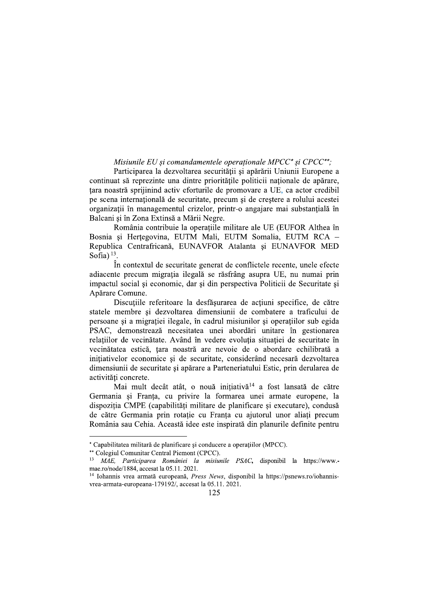# Misiunile EU si comandamentele operationale MPCC\* si CPCC\*\*;

Participarea la dezvoltarea securității și apărării Uniunii Europene a continuat să reprezinte una dintre prioritățile politicii nationale de apărare, tara noastră sprijinind activ eforturile de promovare a UE, ca actor credibil pe scena internațională de securitate, precum și de creștere a rolului acestei organizatii în managementul crizelor, printr-o angajare mai substanțială în Balcani și în Zona Extinsă a Mării Negre.

România contribuie la operatiile militare ale UE (EUFOR Althea în Bosnia si Hertegovina, EUTM Mali, EUTM Somalia, EUTM RCA -Republica Centrafricană, EUNAVFOR Atalanta și EUNAVFOR MED Sofia) $13$ .

În contextul de securitate generat de conflictele recente, unele efecte adiacente precum migratia ilegală se răsfrâng asupra UE, nu numai prin impactul social și economic, dar și din perspectiva Politicii de Securitate și Apărare Comune.

Discuțiile referitoare la desfășurarea de acțiuni specifice, de către statele membre si dezvoltarea dimensiunii de combatere a traficului de persoane și a migrației ilegale, în cadrul misiunilor și operațiilor sub egida PSAC, demonstrează necesitatea unei abordări unitare în gestionarea relațiilor de vecinătate. Având în vedere evoluția situației de securitate în vecinătatea estică, țara noastră are nevoie de o abordare echilibrată a inițiativelor economice și de securitate, considerând necesară dezvoltarea dimensiunii de securitate si apărare a Parteneriatului Estic, prin derularea de activități concrete.

Mai mult decât atât, o nouă initiativă<sup>14</sup> a fost lansată de către Germania și Franța, cu privire la formarea unei armate europene, la dispoziția CMPE (capabilități militare de planificare și executare), condusă de către Germania prin rotație cu Franța cu ajutorul unor aliați precum România sau Cehia. Această idee este inspirată din planurile definite pentru

<sup>\*</sup> Capabilitatea militară de planificare și conducere a operațiilor (MPCC).

<sup>\*\*</sup> Colegiul Comunitar Central Piemont (CPCC).

<sup>&</sup>lt;sup>13</sup> MAE, Participarea României la misiunile PSAC, disponibil la https://www.mae.ro/node/1884. accesat la 05.11. 2021.

<sup>&</sup>lt;sup>14</sup> Iohannis vrea armată europeană, *Press News*, disponibil la https://psnews.ro/iohannisvrea-armata-europeana-179192/, accesat la 05.11. 2021.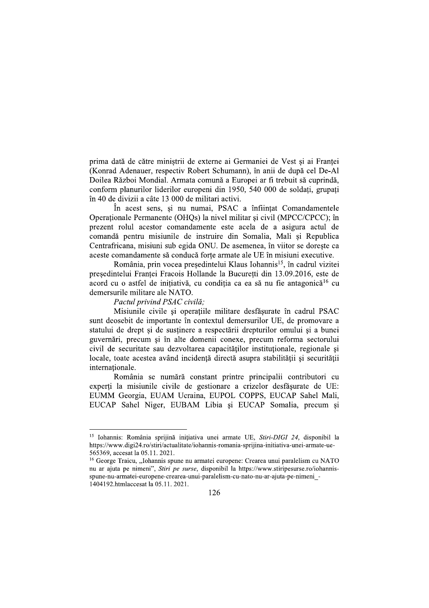prima dată de către ministrii de externe ai Germaniei de Vest și ai Franței (Konrad Adenauer, respectiv Robert Schumann), în anii de după cel De-Al Doilea Război Mondial. Armata comună a Europei ar fi trebuit să cuprindă. conform planurilor liderilor europeni din 1950, 540 000 de soldați, grupați în 40 de divizii a câte 13 000 de militari activi.

În acest sens, și nu numai, PSAC a înființat Comandamentele Operationale Permanente (OHQs) la nivel militar și civil (MPCC/CPCC); în prezent rolul acestor comandamente este acela de a asigura actul de comandă pentru misiunile de instruire din Somalia, Mali și Republica Centrafricana, misiuni sub egida ONU. De asemenea, în viitor se dorește ca aceste comandamente să conducă forte armate ale UE în misiuni executive.

România, prin vocea președintelui Klaus Iohannis<sup>15</sup>, în cadrul vizitei presedintelui Frantei Fracois Hollande la Bucuretti din 13.09.2016, este de acord cu o astfel de initiativă, cu condiția ca ea să nu fie antagonică<sup>16</sup> cu demersurile militare ale NATO.

#### Pactul privind PSAC civilă:

Misiunile civile și operațiile militare desfășurate în cadrul PSAC sunt deosebit de importante în contextul demersurilor UE, de promovare a statului de drept si de sustinere a respectării drepturilor omului si a bunei guvernări, precum și în alte domenii conexe, precum reforma sectorului civil de securitate sau dezvoltarea capacităților instituționale, regionale și locale, toate acestea având incidență directă asupra stabilității și securității internationale.

România se numără constant printre principalii contributori cu experți la misiunile civile de gestionare a crizelor desfășurate de UE: EUMM Georgia, EUAM Ucraina, EUPOL COPPS, EUCAP Sahel Mali, EUCAP Sahel Niger, EUBAM Libia și EUCAP Somalia, precum și

<sup>&</sup>lt;sup>15</sup> Iohannis: România sprijină inițiativa unei armate UE, Stiri-DIGI 24, disponibil la https://www.digi24.ro/stiri/actualitate/iohannis-romania-sprijina-initiativa-unei-armate-ue-565369, accesat la 05.11. 2021.

<sup>&</sup>lt;sup>16</sup> George Traicu, "Iohannis spune nu armatei europene: Crearea unui paralelism cu NATO nu ar ajuta pe nimeni", Stiri pe surse, disponibil la https://www.stiripesurse.ro/iohannisspune-nu-armatei-europene-crearea-unui-paralelism-cu-nato-nu-ar-ajuta-pe-nimeni -1404192.htmlaccesat la 05.11. 2021.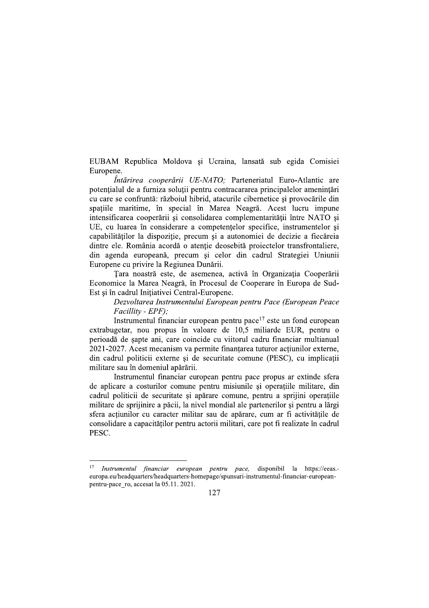EUBAM Republica Moldova și Ucraina, lansată sub egida Comisiei Europene.

*Întărirea cooperării UE-NATO*: Parteneriatul Euro-Atlantic are potențialul de a furniza soluții pentru contracararea principalelor amenințări cu care se confruntă: războiul hibrid, atacurile cibernetice și provocările din spațiile maritime, în special în Marea Neagră. Acest lucru impune intensificarea cooperării și consolidarea complementarității între NATO și UE, cu luarea în considerare a competentelor specifice, instrumentelor si capabilităților la dispoziție, precum și a autonomiei de decizie a fiecăreia dintre ele. România acordă o atenție deosebită proiectelor transfrontaliere, din agenda europeană, precum și celor din cadrul Strategiei Uniunii Europene cu privire la Regiunea Dunării.

Tara noastră este, de asemenea, activă în Organizația Cooperării Economice la Marea Neagră, în Procesul de Cooperare în Europa de Sud-Est și în cadrul Inițiativei Central-Europene.

Dezvoltarea Instrumentului European pentru Pace (European Peace Facillity - EPF);

Instrumentul financiar european pentru pace<sup>17</sup> este un fond european extrabugetar, nou propus în valoare de 10,5 miliarde EUR, pentru o perioadă de șapte ani, care coincide cu viitorul cadru financiar multianual 2021-2027. Acest mecanism va permite finantarea tuturor actiunilor externe, din cadrul politicii externe și de securitate comune (PESC), cu implicații militare sau în domeniul apărării.

Instrumentul financiar european pentru pace propus ar extinde sfera de aplicare a costurilor comune pentru misiunile si operatiile militare, din cadrul politicii de securitate si apărare comune, pentru a sprijini operatiile militare de sprijinire a păcii, la nivel mondial ale partenerilor și pentru a lărgi sfera acțiunilor cu caracter militar sau de apărare, cum ar fi activitățile de consolidare a capacităților pentru actorii militari, care pot fi realizate în cadrul PESC.

 $17$ Instrumentul financiar european pentru pace, disponibil la https://eeas. europa.eu/headquarters/headquarters-homepage/spunsuri-instrumentul-financiar-europeanpentru-pace ro, accesat la 05.11. 2021.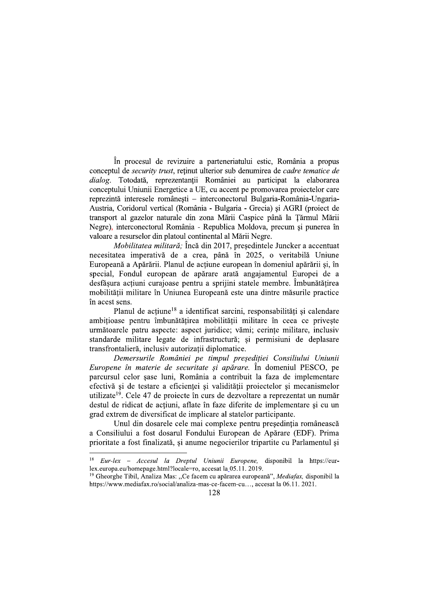În procesul de revizuire a parteneriatului estic, România a propus conceptul de security trust, retinut ulterior sub denumirea de cadre tematice de dialog. Totodată, reprezentantii României au participat la elaborarea conceptului Uniunii Energetice a UE, cu accent pe promovarea proiectelor care reprezintă interesele românesti – interconectorul Bulgaria-România-Ungaria-Austria, Coridorul vertical (România - Bulgaria - Grecia) și AGRI (proiect de transport al gazelor naturale din zona Mării Caspice până la Țărmul Mării Negre), interconectorul România - Republica Moldova, precum și punerea în valoare a resurselor din platoul continental al Mării Negre.

Mobilitatea militară; Încă din 2017, președintele Juncker a accentuat necesitatea imperativă de a crea, până în 2025, o veritabilă Uniune Europeană a Apărării. Planul de acțiune european în domeniul apărării și, în special, Fondul european de apărare arată angajamentul Europei de a desfășura acțiuni curajoase pentru a sprijini statele membre. Îmbunătățirea mobilității militare în Uniunea Europeană este una dintre măsurile practice în acest sens.

Planul de acțiune<sup>18</sup> a identificat sarcini, responsabilități și calendare ambitioase pentru îmbunătătirea mobilitătii militare în ceea ce priveste următoarele patru aspecte: aspect juridice; vămi; cerinte militare, inclusiv standarde militare legate de infrastructură; și permisiuni de deplasare transfrontalieră, inclusiv autorizații diplomatice.

Demersurile României pe timpul președiției Consiliului Uniunii Europene în materie de securitate și apărare. În domeniul PESCO, pe parcursul celor sase luni, România a contribuit la faza de implementare efectivă și de testare a eficientei și validității proiectelor și mecanismelor utilizate<sup>19</sup>. Cele 47 de projecte în curs de dezvoltare a reprezentat un număr destul de ridicat de acțiuni, aflate în faze diferite de implementare și cu un grad extrem de diversificat de implicare al statelor participante.

Unul din dosarele cele mai complexe pentru președinția românească a Consiliului a fost dosarul Fondului European de Apărare (EDF). Prima prioritate a fost finalizată, și anume negocierilor tripartite cu Parlamentul și

 $1\,8$ Eur-lex - Accesul la Dreptul Uniunii Europene, disponibil la https://eurlex.europa.eu/homepage.html?locale=ro, accesat la 05.11. 2019.

<sup>&</sup>lt;sup>19</sup> Gheorghe Tibil, Analiza Mas: "Ce facem cu apărarea europeană", *Mediafax*, disponibil la https://www.mediafax.ro/social/analiza-mas-ce-facem-cu..., accesat la 06.11. 2021.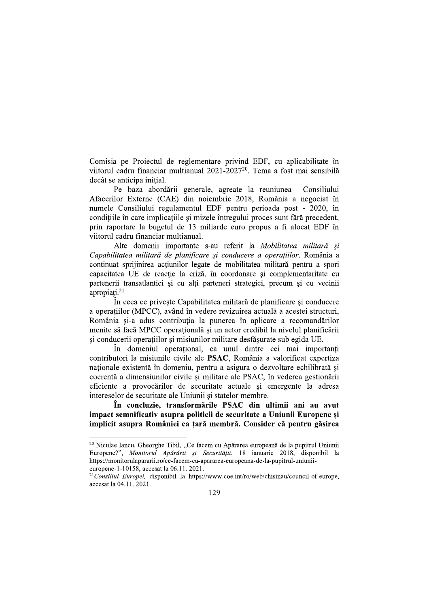Comisia pe Proiectul de reglementare privind EDF, cu aplicabilitate în viitorul cadru financiar multianual 2021-2027<sup>20</sup>. Tema a fost mai sensibilă decât se anticipa initial.

Pe baza abordării generale, agreate la reuniunea Consiliului Afacerilor Externe (CAE) din noiembrie 2018, România a negociat în numele Consiliului regulamentul EDF pentru perioada post - 2020, în condițiile în care implicațiile și mizele întregului proces sunt fără precedent, prin raportare la bugetul de 13 miliarde euro propus a fi alocat EDF în viitorul cadru financiar multianual.

Alte domenii importante s-au referit la Mobilitatea militară și Capabilitatea militară de planificare și conducere a operațiilor. România a continuat sprijinirea acțiunilor legate de mobilitatea militară pentru a spori capacitatea UE de reactie la criză, în coordonare și complementaritate cu partenerii transatlantici și cu alți parteneri strategici, precum și cu vecinii apropiati. $21$ 

În ceea ce priveste Capabilitatea militară de planificare și conducere a operațiilor (MPCC), având în vedere revizuirea actuală a acestei structuri, România si-a adus contributia la punerea în aplicare a recomandărilor menite să facă MPCC operatională și un actor credibil la nivelul planificării și conducerii operațiilor și misiunilor militare desfășurate sub egida UE.

În domeniul operational, ca unul dintre cei mai importanti contributori la misiunile civile ale PSAC, România a valorificat expertiza naționale existentă în domeniu, pentru a asigura o dezvoltare echilibrată și coerentă a dimensiunilor civile și militare ale PSAC, în vederea gestionării eficiente a provocărilor de securitate actuale si emergente la adresa intereselor de securitate ale Uniunii si statelor membre.

În concluzie, transformările PSAC din ultimii ani au avut impact semnificativ asupra politicii de securitate a Uniunii Europene și implicit asupra României ca tară membră. Consider că pentru găsirea

<sup>21</sup>Consiliul Europei, disponibil la https://www.coe.int/ro/web/chisinau/council-of-europe, accesat la 04.11. 2021.

<sup>&</sup>lt;sup>20</sup> Niculae Iancu, Gheorghe Tibil, "Ce facem cu Apărarea europeană de la pupitrul Uniunii Europene?", Monitorul Apărării și Securității, 18 ianuarie 2018, disponibil la https://monitorulapararii.ro/ce-facem-cu-apararea-europeana-de-la-pupitrul-uniuniieuropene-1-10158, accesat la 06.11, 2021.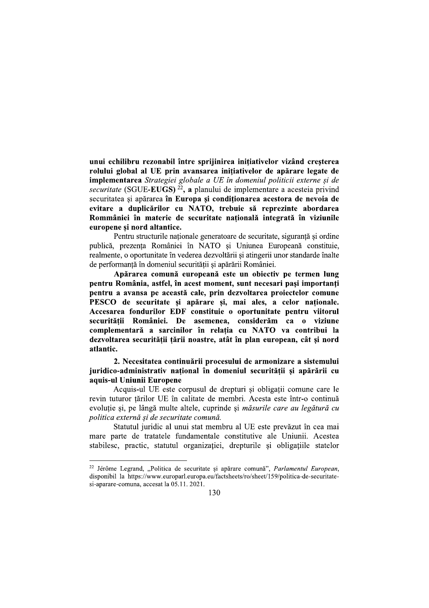unui echilibru rezonabil între sprijinirea inițiativelor vizând creșterea rolului global al UE prin avansarea inițiativelor de apărare legate de **implementarea** Strategiei globale a UE în domeniul politicii externe și de securitate (SGUE-EUGS)<sup>22</sup>, a planului de implementare a acesteia privind securitatea si apărarea în Europa și conditionarea acestora de nevoia de evitare a duplicărilor cu NATO, trebuie să reprezinte abordarea Rommâniei în materie de securitate natională integrată în viziunile europene si nord altantice.

Pentru structurile naționale generatoare de securitate, siguranță și ordine publică, prezența României în NATO și Uniunea Europeană constituie, realmente, o oportunitate în vederea dezvoltării și atingerii unor standarde înalte de performanță în domeniul securității și apărării României.

Apărarea comună europeană este un obiectiv pe termen lung pentru România, astfel, în acest moment, sunt necesari pasi importanti pentru a avansa pe această cale, prin dezvoltarea proiectelor comune PESCO de securitate si apărare si, mai ales, a celor nationale. Accesarea fondurilor EDF constituie o oportunitate pentru viitorul securitătii României. De asemenea, considerăm ca o viziune complementară a sarcinilor în relatia cu NATO va contribui la dezvoltarea securitătii tării noastre, atât în plan european, cât și nord atlantic.

2. Necesitatea continuării procesului de armonizare a sistemului juridico-administrativ national în domeniul securității și apărării cu aquis-ul Uniunii Europene

Acquis-ul UE este corpusul de drepturi și obligații comune care le revin tuturor țărilor UE în calitate de membri. Acesta este într-o continuă evoluție și, pe lângă multe altele, cuprinde și măsurile care au legătură cu politica externă și de securitate comună.

Statutul juridic al unui stat membru al UE este prevăzut în cea mai mare parte de tratatele fundamentale constitutive ale Uniunii. Acestea stabilesc, practic, statutul organizației, drepturile și obligațiile statelor

<sup>&</sup>lt;sup>22</sup> Jérôme Legrand, "Politica de securitate și apărare comună", *Parlamentul European*, disponibil la https://www.europarl.europa.eu/factsheets/ro/sheet/159/politica-de-securitatesi-aparare-comuna, accesat la 05.11. 2021.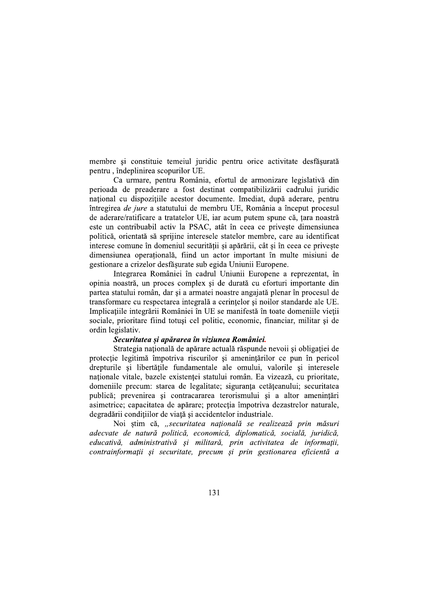membre și constituie temeiul juridic pentru orice activitate desfășurată pentru, îndeplinirea scopurilor UE.

Ca urmare, pentru România, efortul de armonizare legislativă din perioada de preaderare a fost destinat compatibilizării cadrului juridic national cu dispozițiile acestor documente. Imediat, după aderare, pentru întregirea de jure a statutului de membru UE, România a început procesul de aderare/ratificare a tratatelor UE, iar acum putem spune că, țara noastră este un contribuabil activ la PSAC, atât în ceea ce priveste dimensiunea politică, orientată să sprijine interesele statelor membre, care au identificat interese comune în domeniul securității și apărării, cât și în ceea ce privește dimensiunea operatională, fiind un actor important în multe misiuni de gestionare a crizelor desfășurate sub egida Uniunii Europene.

Integrarea României în cadrul Uniunii Europene a reprezentat, în opinia noastră, un proces complex și de durată cu eforturi importante din partea statului român, dar și a armatei noastre angajată plenar în procesul de transformare cu respectarea integrală a cerintelor și noilor standarde ale UE. Implicațiile integrării României în UE se manifestă în toate domeniile vieții sociale, prioritare fiind totusi cel politic, economic, financiar, militar si de ordin legislativ.

### Securitatea și apărarea în viziunea României.

Strategia națională de apărare actuală răspunde nevoii și obligației de protecție legitimă împotriva riscurilor și amenințărilor ce pun în pericol drepturile și libertățile fundamentale ale omului, valorile și interesele nationale vitale, bazele existentei statului român. Ea vizează, cu prioritate, domeniile precum: starea de legalitate; siguranța cetățeanului; securitatea publică; prevenirea și contracararea terorismului și a altor amenințări asimetrice; capacitatea de apărare; protecția împotriva dezastrelor naturale, degradării condițiilor de viață și accidentelor industriale.

Noi știm că, "securitatea națională se realizează prin măsuri adecvate de natură politică, economică, diplomatică, socială, juridică, educativă, administrativă și militară, prin activitatea de informații, contrainformatii și securitate, precum și prin gestionarea eficientă a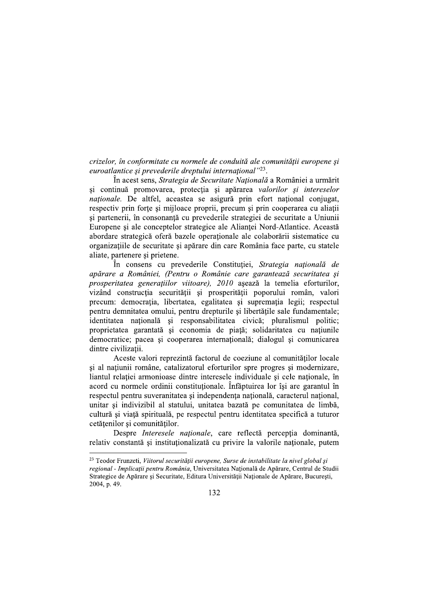crizelor, în conformitate cu normele de conduită ale comunității europene și euroatlantice și prevederile dreptului internațional"<sup>23</sup>.

În acest sens. Strategia de Securitate Natională a României a urmărit si continuă promovarea, protecția și apărarea valorilor și intereselor *nationale*. De altfel, aceastea se asigură prin efort national conjugat, respectiv prin forțe și mijloace proprii, precum și prin cooperarea cu aliații și partenerii, în consonanță cu prevederile strategiei de securitate a Uniunii Europene si ale conceptelor strategice ale Aliantei Nord-Atlantice. Această abordare strategică oferă bazele operaționale ale colaborării sistematice cu organizațiile de securitate și apărare din care România face parte, cu statele aliate, partenere si prietene.

În consens cu prevederile Constituției, Strategia națională de apărare a României, (Pentru o Românie care garantează securitatea și prosperitatea generațiilor viitoare), 2010 așează la temelia eforturilor, vizând construcția securității și prosperității poporului român, valori precum: democratia, libertatea, egalitatea si suprematia legii; respectul pentru demnitatea omului, pentru drepturile și libertățile sale fundamentale; identitatea națională și responsabilitatea civică; pluralismul politic; proprietatea garantată și economia de piată; solidaritatea cu natiunile democratice; pacea și cooperarea internațională; dialogul și comunicarea dintre civilizații.

Aceste valori reprezintă factorul de coeziune al comunităților locale și al națiunii române, catalizatorul eforturilor spre progres și modernizare, liantul relatiei armonioase dintre interesele individuale si cele nationale, în acord cu normele ordinii constitutionale. Înfăptuirea lor își are garantul în respectul pentru suveranitatea și independența națională, caracterul național, unitar și indivizibil al statului, unitatea bazată pe comunitatea de limbă, cultură și viață spirituală, pe respectul pentru identitatea specifică a tuturor cetățenilor și comunităților.

Despre Interesele naționale, care reflectă percepția dominantă, relativ constantă și instituționalizată cu privire la valorile naționale, putem

<sup>&</sup>lt;sup>23</sup> Teodor Frunzeti, Viitorul securității europene, Surse de instabilitate la nivel global și regional - Implicații pentru România, Universitatea Națională de Apărare, Centrul de Studii Strategice de Apărare și Securitate, Editura Universității Naționale de Apărare, București, 2004, p. 49.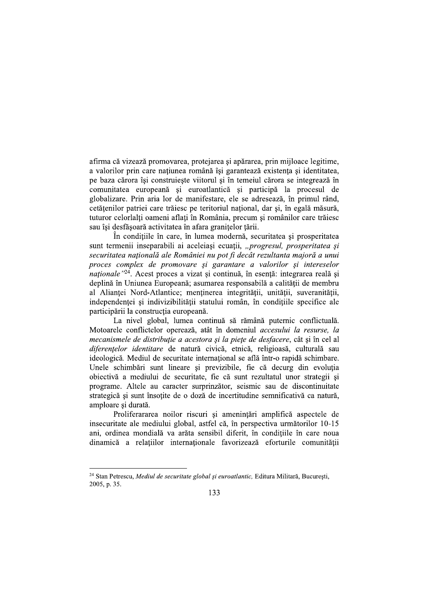afirma că vizează promovarea, protejarea și apărarea, prin mijloace legitime, a valorilor prin care natiunea română își garantează existenta și identitatea, pe baza cărora îsi construieste viitorul și în temeiul cărora se integrează în comunitatea europeană și euroatlantică și participă la procesul de globalizare. Prin aria lor de manifestare, ele se adresează, în primul rând, cetățenilor patriei care trăiesc pe teritoriul național, dar și, în egală măsură, tuturor celorlalți oameni aflați în România, precum și românilor care trăiesc sau îsi desfăsoară activitatea în afara granitelor tării.

În condițiile în care, în lumea modernă, securitatea și prosperitatea sunt termenii inseparabili ai aceleiași ecuații, "progresul, prosperitatea și securitatea națională ale României nu pot fi decât rezultanta majoră a unui proces complex de promovare și garantare a valorilor și intereselor *naționale* "24. Acest proces a vizat și continuă, în esență: integrarea reală și deplină în Uniunea Europeană; asumarea responsabilă a calității de membru al Aliantei Nord-Atlantice; mentinerea integrității, unității, suveranității, independentei si indivizibilității statului român, în condițiile specifice ale participării la construcția europeană.

La nivel global, lumea continuă să rămână puternic conflictuală. Motoarele conflictelor operează, atât în domeniul accesului la resurse, la mecanismele de distribuție a acestora și la piețe de desfacere, cât și în cel al diferențelor identitare de natură civică, etnică, religioasă, culturală sau ideologică. Mediul de securitate internațional se află într-o rapidă schimbare. Unele schimbări sunt lineare și previzibile, fie că decurg din evoluția obiectivă a mediului de securitate, fie că sunt rezultatul unor strategii si programe. Altele au caracter surprinzător, seismic sau de discontinuitate strategică și sunt însotite de o doză de incertitudine semnificativă ca natură. amploare și durată.

Proliferararea noilor riscuri și amenințări amplifică aspectele de insecuritate ale mediului global, astfel că, în perspectiva următorilor 10-15 ani, ordinea mondială va arăta sensibil diferit, în condițiile în care noua dinamică a relațiilor internaționale favorizează eforturile comunității

<sup>&</sup>lt;sup>24</sup> Stan Petrescu, Mediul de securitate global și euroatlantic, Editura Militară, București, 2005, p. 35.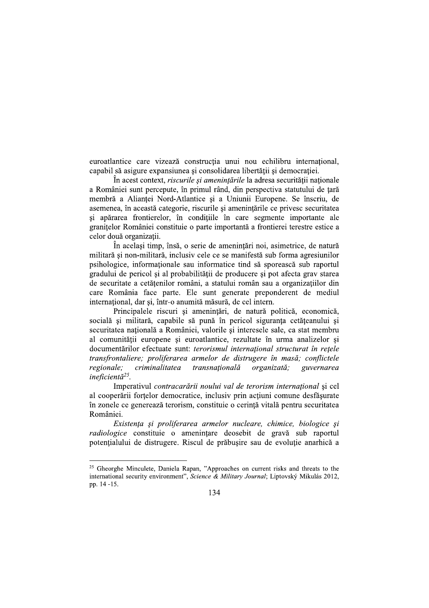euroatlantice care vizează construcția unui nou echilibru internațional, capabil să asigure expansiunea și consolidarea libertății și democratiei.

În acest context, *riscurile și amenintările* la adresa securității nationale a României sunt percepute, în primul rând, din perspectiva statutului de țară membră a Alianței Nord-Atlantice și a Uniunii Europene. Se înscriu, de asemenea, în această categorie, riscurile și amenințările ce privesc securitatea si apărarea frontierelor, în condițiile în care segmente importante ale granitelor României constituie o parte importantă a frontierei terestre estice a celor două organizații.

În același timp, însă, o serie de amenințări noi, asimetrice, de natură militară și non-militară, inclusiv cele ce se manifestă sub forma agresiunilor psihologice, informationale sau informatice tind să sporească sub raportul gradului de pericol și al probabilității de producere și pot afecta grav starea de securitate a cetățenilor români, a statului român sau a organizațiilor din care România face parte. Ele sunt generate preponderent de mediul international, dar si, într-o anumită măsură, de cel intern.

Principalele riscuri și amenințări, de natură politică, economică, socială și militară, capabile să pună în pericol siguranța cetățeanului și securitatea natională a României, valorile și interesele sale, ca stat membru al comunității europene și euroatlantice, rezultate în urma analizelor și documentărilor efectuate sunt: terorismul internațional structurat în rețele transfrontaliere; proliferarea armelor de distrugere în masă; conflictele regionale; criminalitatea transnațională organizată; guvernarea ineficientă<sup>25</sup>.

Imperativul contracarării noului val de terorism internațional și cel al cooperării forțelor democratice, inclusiv prin acțiuni comune desfășurate în zonele ce generează terorism, constituie o cerință vitală pentru securitatea României.

Existența și proliferarea armelor nucleare, chimice, biologice și *radiologice* constituie o amenintare deosebit de gravă sub raportul potentialului de distrugere. Riscul de prăbusire sau de evoluție anarhică a

<sup>&</sup>lt;sup>25</sup> Gheorghe Minculete, Daniela Rapan, "Approaches on current risks and threats to the international security environment", Science & Military Journal; Liptovský Mikulás 2012, pp. 14 -15.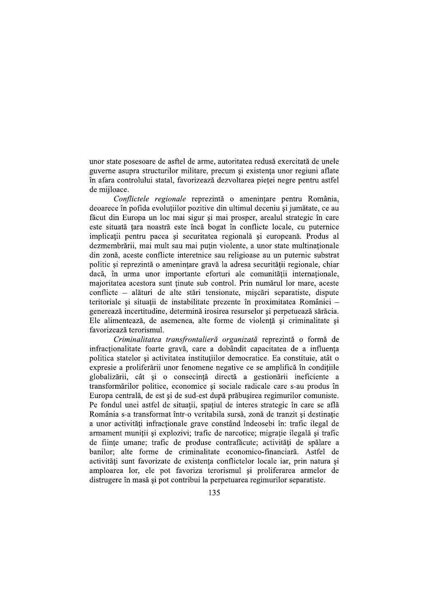unor state posesoare de asftel de arme, autoritatea redusă exercitată de unele guverne asupra structurilor militare, precum si existenta unor regiuni aflate în afara controlului statal, favorizează dezvoltarea pietei negre pentru astfel de mijloace.

Conflictele regionale reprezintă o amenințare pentru România, deoarece în pofida evoluțiilor pozitive din ultimul deceniu și jumătate, ce au făcut din Europa un loc mai sigur și mai prosper, arealul strategic în care este situată țara noastră este încă bogat în conflicte locale, cu puternice implicații pentru pacea și securitatea regională și europeană. Produs al dezmembrării, mai mult sau mai puțin violente, a unor state multinaționale din zonă, aceste conflicte interetnice sau religioase au un puternic substrat politic și reprezintă o amenințare gravă la adresa securității regionale, chiar dacă, în urma unor importante eforturi ale comunității internaționale, majoritatea acestora sunt tinute sub control. Prin numărul lor mare, aceste conflicte – alături de alte stări tensionate, mișcări separatiste, dispute teritoriale si situatii de instabilitate prezente în proximitatea României – generează incertitudine, determină irosirea resurselor și perpetuează sărăcia. Ele alimentează, de asemenea, alte forme de violență și criminalitate și favorizează terorismul.

Criminalitatea transfrontalieră organizată reprezintă o formă de infractionalitate foarte gravă, care a dobândit capacitatea de a influența politica statelor și activitatea instituțiilor democratice. Ea constituie, atât o expresie a proliferării unor fenomene negative ce se amplifică în condițiile globalizării, cât și o consecință directă a gestionării ineficiente a transformărilor politice, economice și sociale radicale care s-au produs în Europa centrală, de est și de sud-est după prăbușirea regimurilor comuniste. Pe fondul unei astfel de situații, spațiul de interes strategic în care se află România s-a transformat într-o veritabila sursă, zonă de tranzit și destinație a unor activități infracționale grave constând îndeosebi în: trafic ilegal de armament muniții și explozivi; trafic de narcotice; migrație ilegală și trafic de fiinte umane; trafic de produse contrafăcute; activități de spălare a banilor; alte forme de criminalitate economico-financiară. Astfel de activități sunt favorizate de existența conflictelor locale iar, prin natura și amploarea lor, ele pot favoriza terorismul și proliferarea armelor de distrugere în masă și pot contribui la perpetuarea regimurilor separatiste.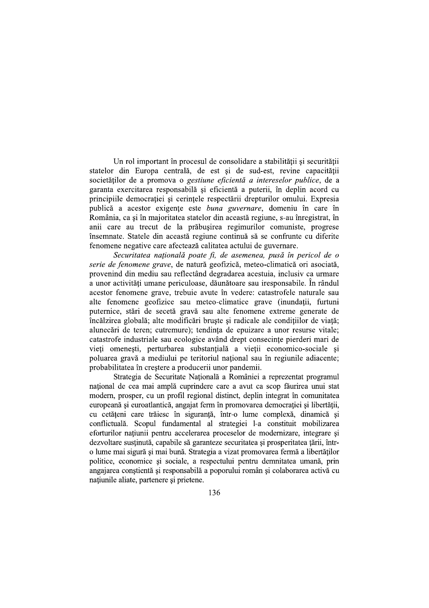Un rol important în procesul de consolidare a stabilității și securității statelor din Europa centrală, de est și de sud-est, revine capacității societătilor de a promova o gestiune eficientă a intereselor publice, de a garanta exercitarea responsabilă și eficientă a puterii, în deplin acord cu principiile democratiei și cerintele respectării drepturilor omului. Expresia publică a acestor exigențe este buna guvernare, domeniu în care în România, ca și în majoritatea statelor din această regiune, s-au înregistrat, în anii care au trecut de la prăbusirea regimurilor comuniste, progrese însemnate. Statele din această regiune continuă să se confrunte cu diferite fenomene negative care afectează calitatea actului de guvernare.

Securitatea națională poate fi, de asemenea, pusă în pericol de o serie de fenomene grave, de natură geofizică, meteo-climatică ori asociată, provenind din mediu sau reflectând degradarea acestuia, inclusiv ca urmare a unor activități umane periculoase, dăunătoare sau iresponsabile. În rândul acestor fenomene grave, trebuie avute în vedere: catastrofele naturale sau alte fenomene geofizice sau meteo-climatice grave (inundatii, furtuni puternice, stări de secetă gravă sau alte fenomene extreme generate de încălzirea globală; alte modificări bruste și radicale ale condițiilor de viață; alunecări de teren; cutremure); tendinta de epuizare a unor resurse vitale; catastrofe industriale sau ecologice având drept consecinte pierderi mari de vieți omenești, perturbarea substanțială a vieții economico-sociale și poluarea gravă a mediului pe teritoriul național sau în regiunile adiacente; probabilitatea în creștere a producerii unor pandemii.

Strategia de Securitate Natională a României a reprezentat programul national de cea mai amplă cuprindere care a avut ca scop făurirea unui stat modern, prosper, cu un profil regional distinct, deplin integrat în comunitatea europeană și euroatlantică, angajat ferm în promovarea democrației și libertății, cu cetățeni care trăiesc în siguranță, într-o lume complexă, dinamică și conflictuală. Scopul fundamental al strategiei l-a constituit mobilizarea eforturilor națiunii pentru accelerarea proceselor de modernizare, integrare și dezvoltare susținută, capabile să garanteze securitatea și prosperitatea țării, întro lume mai sigură și mai bună. Strategia a vizat promovarea fermă a libertăților politice, economice și sociale, a respectului pentru demnitatea umană, prin angajarea constientă și responsabilă a poporului român și colaborarea activă cu natiunile aliate, partenere si prietene.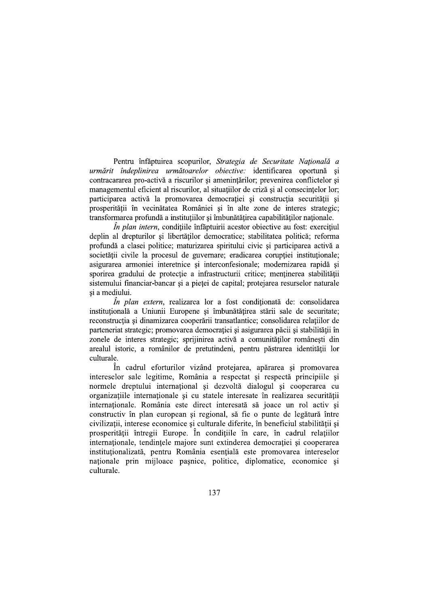Pentru înfăptuirea scopurilor, Strategia de Securitate Națională a urmărit îndeplinirea următoarelor obiective: identificarea oportună și contracararea pro-activă a riscurilor și amenintărilor; prevenirea conflictelor și managementul eficient al riscurilor, al situațiilor de criză și al consecințelor lor; participarea activă la promovarea democratiei și construcția securității și prosperității în vecinătatea României și în alte zone de interes strategic; transformarea profundă a instituțiilor și îmbunătățirea capabilităților nationale.

 $\hat{I}$ n plan intern, conditiile înfăptuirii acestor objective au fost: exercitiul deplin al drepturilor și libertăților democratice; stabilitatea politică; reforma profundă a clasei politice; maturizarea spiritului civic și participarea activă a societății civile la procesul de guvernare; eradicarea corupției instituționale; asigurarea armoniei interetnice și interconfesionale; modernizarea rapidă și sporirea gradului de protectie a infrastructurii critice; mentinerea stabilității sistemului financiar-bancar și a pieței de capital; protejarea resurselor naturale si a mediului.

*În plan extern*, realizarea lor a fost conditionată de: consolidarea instituțională a Uniunii Europene și îmbunătățirea stării sale de securitate; reconstructia si dinamizarea cooperării transatlantice; consolidarea relatiilor de parteneriat strategic; promovarea democratiei și asigurarea păcii și stabilității în zonele de interes strategic; sprijinirea activă a comunităților românești din arealul istoric, a românilor de pretutindeni, pentru păstrarea identității lor culturale.

În cadrul eforturilor vizând protejarea, apărarea și promovarea intereselor sale legitime, România a respectat si respectă principiile si normele dreptului internațional și dezvoltă dialogul și cooperarea cu organizațiile internaționale și cu statele interesate în realizarea securității internaționale. România este direct interesată să joace un rol activ și constructiv în plan european și regional, să fie o punte de legătură între civilizații, interese economice și culturale diferite, în beneficiul stabilității și prosperității întregii Europe. În condițiile în care, în cadrul relațiilor internationale, tendintele majore sunt extinderea democratiei si cooperarea institutionalizată, pentru România esentială este promovarea intereselor naționale prin mijloace pașnice, politice, diplomatice, economice și culturale.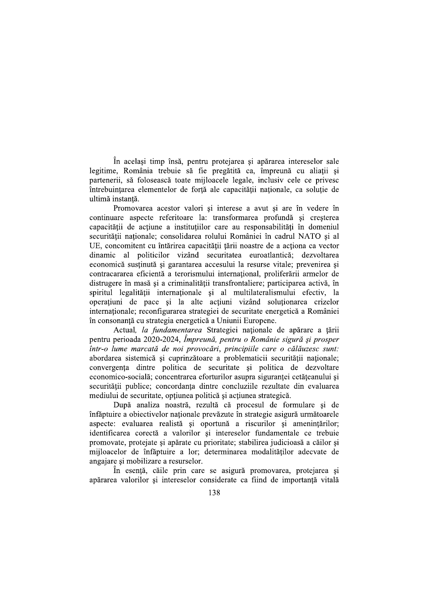În același timp însă, pentru protejarea și apărarea intereselor sale legitime, România trebuie să fie pregătită ca, împreună cu aliații și partenerii, să folosească toate miiloacele legale, inclusiv cele ce privesc întrebuințarea elementelor de forță ale capacității naționale, ca soluție de ultimă instantă.

Promovarea acestor valori și interese a avut și are în vedere în continuare aspecte referitoare la: transformarea profundă și creșterea capacitătii de actiune a institutiilor care au responsabilităti în domeniul securității naționale; consolidarea rolului României în cadrul NATO și al UE, concomitent cu întărirea capacității tării noastre de a actiona ca vector dinamic al politicilor vizând securitatea euroatlantică; dezvoltarea economică susținută și garantarea accesului la resurse vitale; prevenirea și contracararea eficientă a terorismului internațional, proliferării armelor de distrugere în masă și a criminalității transfrontaliere; participarea activă, în spiritul legalității internaționale și al multilateralismului efectiv, la operatiuni de pace si la alte actiuni vizând solutionarea crizelor internaționale; reconfigurarea strategiei de securitate energetică a României în consonanță cu strategia energetică a Uniunii Europene.

Actual, la fundamentarea Strategiei nationale de apărare a tării pentru perioada 2020-2024, Împreună, pentru o Românie sigură și prosper într-o lume marcată de noi provocări, principiile care o călăuzesc sunt: abordarea sistemică și cuprinzătoare a problematicii securității naționale; convergenta dintre politica de securitate și politica de dezvoltare economico-socială; concentrarea eforturilor asupra sigurantei cetăteanului si securității publice; concordanta dintre concluziile rezultate din evaluarea mediului de securitate, opțiunea politică și acțiunea strategică.

După analiza noastră, rezultă că procesul de formulare și de înfăptuire a obiectivelor naționale prevăzute în strategie asigură următoarele aspecte: evaluarea realistă și oportună a riscurilor și amenințărilor; identificarea corectă a valorilor și intereselor fundamentale ce trebuie promovate, protejate și apărate cu prioritate; stabilirea judicioasă a căilor și mijloacelor de înfăptuire a lor; determinarea modalităților adecvate de angajare și mobilizare a resurselor.

În esență, căile prin care se asigură promovarea, protejarea și apărarea valorilor și intereselor considerate ca fiind de importanță vitală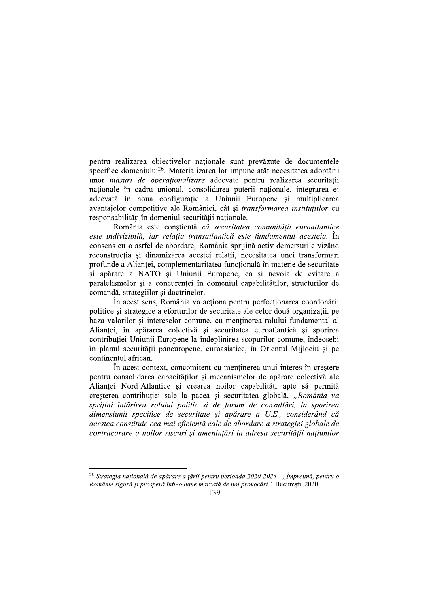pentru realizarea obiectivelor naționale sunt prevăzute de documentele specifice domeniului<sup>26</sup>. Materializarea lor impune atât necesitatea adoptării unor *măsuri de operationalizare* adecvate pentru realizarea securitătii naționale în cadru unional, consolidarea puterii naționale, integrarea ei adecvată în noua configurație a Uniunii Europene și multiplicarea avantajelor competitive ale României, cât și transformarea instituțiilor cu responsabilități în domeniul securității naționale.

România este constientă că securitatea comunității euroatlantice este indivizibilă, iar relația transatlantică este fundamentul acesteia. În consens cu o astfel de abordare, România sprijină activ demersurile vizând reconstrucția și dinamizarea acestei relații, necesitatea unei transformări profunde a Alianței, complementaritatea funcțională în materie de securitate si apărare a NATO și Uniunii Europene, ca și nevoia de evitare a paralelismelor și a concurenței în domeniul capabilităților, structurilor de comandă, strategiilor și doctrinelor.

În acest sens, România va acționa pentru perfecționarea coordonării politice și strategice a eforturilor de securitate ale celor două organizații, pe baza valorilor si intereselor comune, cu mentinerea rolului fundamental al Aliantei, în apărarea colectivă și securitatea euroatlantică și sporirea contribuției Uniunii Europene la îndeplinirea scopurilor comune, îndeosebi în planul securității paneuropene, euroasiatice, în Orientul Mijlociu și pe continentul african.

În acest context, concomitent cu mentinerea unui interes în creștere pentru consolidarea capacităților și mecanismelor de apărare colectivă ale Alianței Nord-Atlantice și crearea noilor capabilități apte să permită creșterea contribuției sale la pacea și securitatea globală, "România va sprijini întărirea rolului politic și de forum de consultări, la sporirea dimensiunii specifice de securitate și apărare a U.E., considerând că acestea constituie cea mai eficientă cale de abordare a strategiei globale de contracarare a noilor riscuri și amenințări la adresa securității națiunilor

<sup>&</sup>lt;sup>26</sup> Strategia națională de apărare a țării pentru perioada 2020-2024 - "Împreună, pentru o Românie sigură și prosperă într-o lume marcată de noi provocări", București, 2020.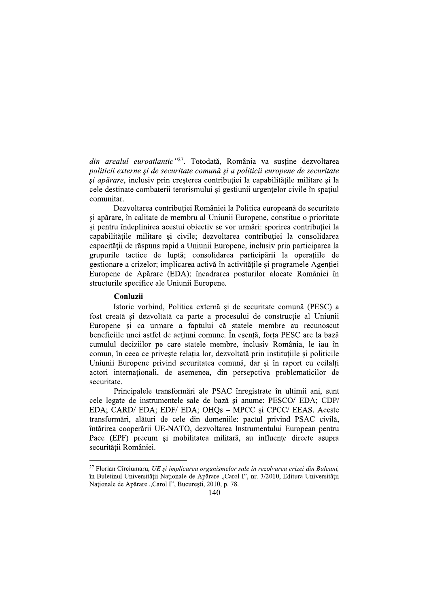din arealul euroatlantic<sup>"27</sup>. Totodată, România va sustine dezvoltarea politicii externe si de securitate comună si a politicii europene de securitate si apărare, inclusiv prin cresterea contributiei la capabilitățile militare și la cele destinate combaterii terorismului și gestiunii urgențelor civile în spațiul comunitar.

Dezvoltarea contribuției României la Politica europeană de securitate și apărare, în calitate de membru al Uniunii Europene, constitue o prioritate si pentru îndeplinirea acestui objectiv se vor urmări: sporirea contributiei la capabilitățile militare și civile; dezvoltarea contribuției la consolidarea capacității de răspuns rapid a Uniunii Europene, inclusiv prin participarea la grupurile tactice de luptă; consolidarea participării la operațiile de gestionare a crizelor; implicarea activă în activitățile și programele Agenției Europene de Apărare (EDA); încadrarea posturilor alocate României în structurile specifice ale Uniunii Europene.

### Conluzii

Istoric vorbind, Politica externă și de securitate comună (PESC) a fost creată și dezvoltată ca parte a procesului de constructie al Uniunii Europene și ca urmare a faptului că statele membre au recunoscut beneficiile unei astfel de acțiuni comune. În esență, forța PESC are la bază cumulul deciziilor pe care statele membre, inclusiv România, le jau în comun, în ceea ce priveste relatia lor, dezvoltată prin institutiile si politicile Uniunii Europene privind securitatea comună, dar si în raport cu ceilalti actori internaționali, de asemenea, din persepctiva problematicilor de securitate.

Principalele transformări ale PSAC înregistrate în ultimii ani, sunt cele legate de instrumentele sale de bază și anume: PESCO/EDA; CDP/ EDA; CARD/ EDA; EDF/ EDA; OHQs - MPCC și CPCC/ EEAS. Aceste transformări, alături de cele din domeniile: pactul privind PSAC civilă, întărirea cooperării UE-NATO, dezvoltarea Instrumentului European pentru Pace (EPF) precum și mobilitatea militară, au influențe directe asupra securității României.

 $27$  Florian Cîrciumaru, UE și implicarea organismelor sale în rezolvarea crizei din Balcani, în Buletinul Universității Naționale de Apărare "Carol I", nr. 3/2010, Editura Universității Naționale de Apărare "Carol I", București, 2010, p. 78.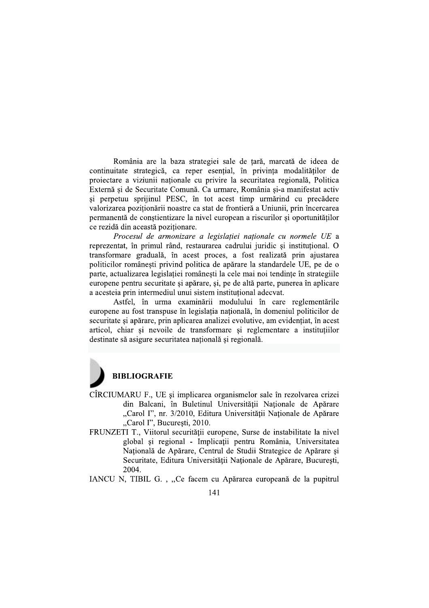România are la baza strategiei sale de țară, marcată de ideea de continuitate strategică, ca reper esențial, în privința modalităților de projectare a viziunii nationale cu privire la securitatea regională. Politica Externă și de Securitate Comună. Ca urmare, România și-a manifestat activ și perpetuu sprijinul PESC, în tot acest timp urmărind cu precădere valorizarea poziționării noastre ca stat de frontieră a Uniunii, prin încercarea permanentă de conștientizare la nivel european a riscurilor și oportunităților ce rezidă din această pozitionare.

Procesul de armonizare a legislației naționale cu normele UE a reprezentat, în primul rând, restaurarea cadrului juridic și instituțional. O transformare graduală, în acest proces, a fost realizată prin ajustarea politicilor românești privind politica de apărare la standardele UE, pe de o parte, actualizarea legislatiei românesti la cele mai noi tendinte în strategiile europene pentru securitate și apărare, și, pe de altă parte, punerea în aplicare a acesteia prin intermediul unui sistem institutional adecvat.

Astfel, în urma examinării modulului în care reglementările europene au fost transpuse în legislația națională, în domeniul politicilor de securitate si apărare, prin aplicarea analizei evolutive, am evidentiat, în acest articol, chiar si nevoile de transformare si reglementare a institutiilor destinate să asigure securitatea națională și regională.



- CÎRCIUMARU F., UE și implicarea organismelor sale în rezolvarea crizei din Balcani, în Buletinul Universității Naționale de Apărare "Carol I", nr. 3/2010, Editura Universității Naționale de Apărare "Carol I", București, 2010.
- FRUNZETI T., Viitorul securității europene, Surse de instabilitate la nivel global și regional - Implicații pentru România, Universitatea Națională de Apărare, Centrul de Studii Strategice de Apărare și Securitate, Editura Universității Naționale de Apărare, București, 2004.
- IANCU N, TIBIL G., "Ce facem cu Apărarea europeană de la pupitrul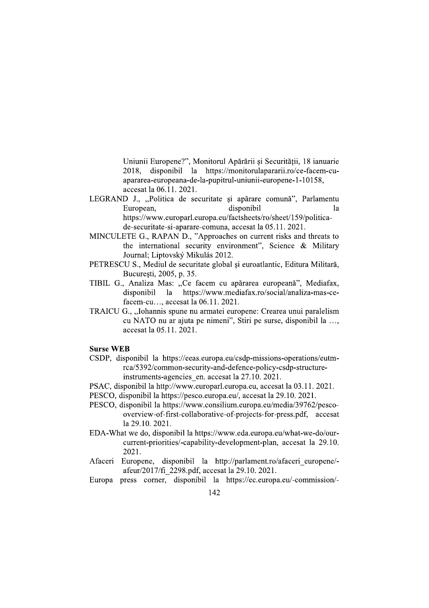Uniunii Europene?", Monitorul Apărării și Securității, 18 ianuarie 2018. disponibil la https://monitorulapararii.ro/ce-facem-cuapararea-europeana-de-la-pupitrul-uniunii-europene-1-10158, accesat la 06.11. 2021.

- LEGRAND J., "Politica de securitate și apărare comună", Parlamentu European, disponibil  $1a$ https://www.europarl.europa.eu/factsheets/ro/sheet/159/politicade-securitate-si-aparare-comuna, accesat la 05,11, 2021.
- MINCULETE G., RAPAN D., "Approaches on current risks and threats to the international security environment", Science & Military Journal; Liptovský Mikulás 2012.
- PETRESCU S., Mediul de securitate global și euroatlantic, Editura Militară, Bucuresti, 2005, p. 35.
- TIBIL G., Analiza Mas: "Ce facem cu apărarea europeană", Mediafax, disponibil la https://www.mediafax.ro/social/analiza-mas-cefacem-cu..., accesat la 06.11, 2021.
- TRAICU G., "Iohannis spune nu armatei europene: Crearea unui paralelism cu NATO nu ar ajuta pe nimeni", Stiri pe surse, disponibil la ..., accesat la 05.11, 2021.

### **Surse WEB**

- CSDP, disponibil la https://eeas.europa.eu/csdp-missions-operations/eutmrca/5392/common-security-and-defence-policy-csdp-structureinstruments-agencies en. accesat la 27.10. 2021.
- PSAC, disponibil la http://www.europarl.europa.eu, accesat la 03.11. 2021.
- PESCO, disponibil la https://pesco.europa.eu/, accesat la 29.10. 2021.
- PESCO, disponibil la https://www.consilium.europa.eu/media/39762/pescooverview-of-first-collaborative-of-projects-for-press.pdf, accesat la 29.10, 2021.
- EDA-What we do, disponibil la https://www.eda.europa.eu/what-we-do/ourcurrent-priorities/-capability-development-plan, accesat la 29.10. 2021.
- Afaceri Europene, disponibil la http://parlament.ro/afaceri\_europene/afeur/2017/fi 2298.pdf, accesat la 29.10. 2021.
- Europa press corner, disponibil la https://ec.europa.eu/-commission/-